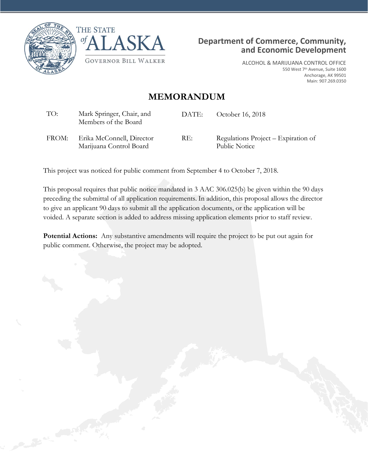





ALCOHOL & MARIJUANA CONTROL OFFICE 550 West 7th Avenue, Suite 1600 Anchorage, AK 99501 Main: 907.269.0350

## **MEMORANDUM**

| TO:   | Mark Springer, Chair, and<br>Members of the Board    | DATE: | October 16, 2018                                     |
|-------|------------------------------------------------------|-------|------------------------------------------------------|
| FROM: | Erika McConnell, Director<br>Marijuana Control Board | RE:   | Regulations Project – Expiration of<br>Public Notice |

This project was noticed for public comment from September 4 to October 7, 2018.

This proposal requires that public notice mandated in 3 AAC 306.025(b) be given within the 90 days preceding the submittal of all application requirements. In addition, this proposal allows the director to give an applicant 90 days to submit all the application documents, or the application will be voided. A separate section is added to address missing application elements prior to staff review.

**Potential Actions:** Any substantive amendments will require the project to be put out again for public comment. Otherwise, the project may be adopted.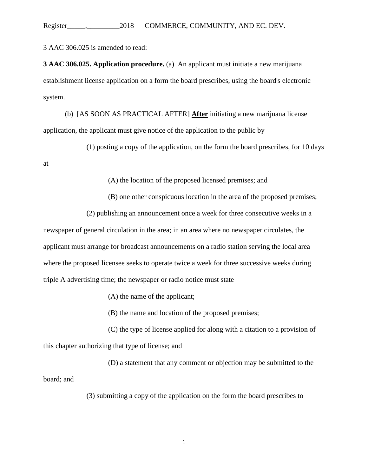Register\_\_\_\_\_,\_\_\_\_\_\_\_\_\_2018 COMMERCE, COMMUNITY, AND EC. DEV.

3 AAC 306.025 is amended to read:

**3 AAC 306.025. Application procedure.** (a) An applicant must initiate a new marijuana establishment license application on a form the board prescribes, using the board's electronic system.

(b) [AS SOON AS PRACTICAL AFTER] **After** initiating a new marijuana license application, the applicant must give notice of the application to the public by

(1) posting a copy of the application, on the form the board prescribes, for 10 days

at

(A) the location of the proposed licensed premises; and

(B) one other conspicuous location in the area of the proposed premises;

(2) publishing an announcement once a week for three consecutive weeks in a

newspaper of general circulation in the area; in an area where no newspaper circulates, the applicant must arrange for broadcast announcements on a radio station serving the local area where the proposed licensee seeks to operate twice a week for three successive weeks during triple A advertising time; the newspaper or radio notice must state

(A) the name of the applicant;

(B) the name and location of the proposed premises;

(C) the type of license applied for along with a citation to a provision of this chapter authorizing that type of license; and

(D) a statement that any comment or objection may be submitted to the board; and

(3) submitting a copy of the application on the form the board prescribes to

1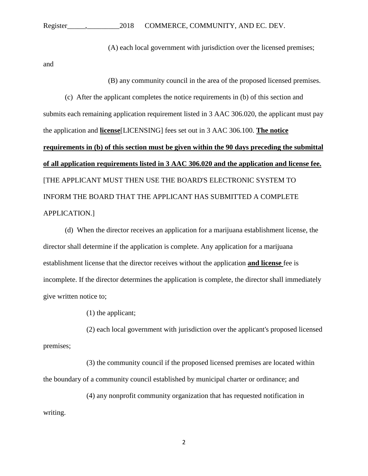## Register\_\_\_\_\_,\_\_\_\_\_\_\_\_\_2018 COMMERCE, COMMUNITY, AND EC. DEV.

(A) each local government with jurisdiction over the licensed premises;

and

(B) any community council in the area of the proposed licensed premises.

(c) After the applicant completes the notice requirements in (b) of this section and submits each remaining application requirement listed in 3 AAC 306.020, the applicant must pay the application and **license**[LICENSING] fees set out in 3 AAC 306.100. **The notice requirements in (b) of this section must be given within the 90 days preceding the submittal of all application requirements listed in 3 AAC 306.020 and the application and license fee.** [THE APPLICANT MUST THEN USE THE BOARD'S ELECTRONIC SYSTEM TO INFORM THE BOARD THAT THE APPLICANT HAS SUBMITTED A COMPLETE APPLICATION.]

(d) When the director receives an application for a marijuana establishment license, the director shall determine if the application is complete. Any application for a marijuana establishment license that the director receives without the application **and license** fee is incomplete. If the director determines the application is complete, the director shall immediately give written notice to;

(1) the applicant;

(2) each local government with jurisdiction over the applicant's proposed licensed premises;

(3) the community council if the proposed licensed premises are located within the boundary of a community council established by municipal charter or ordinance; and

(4) any nonprofit community organization that has requested notification in writing.

2